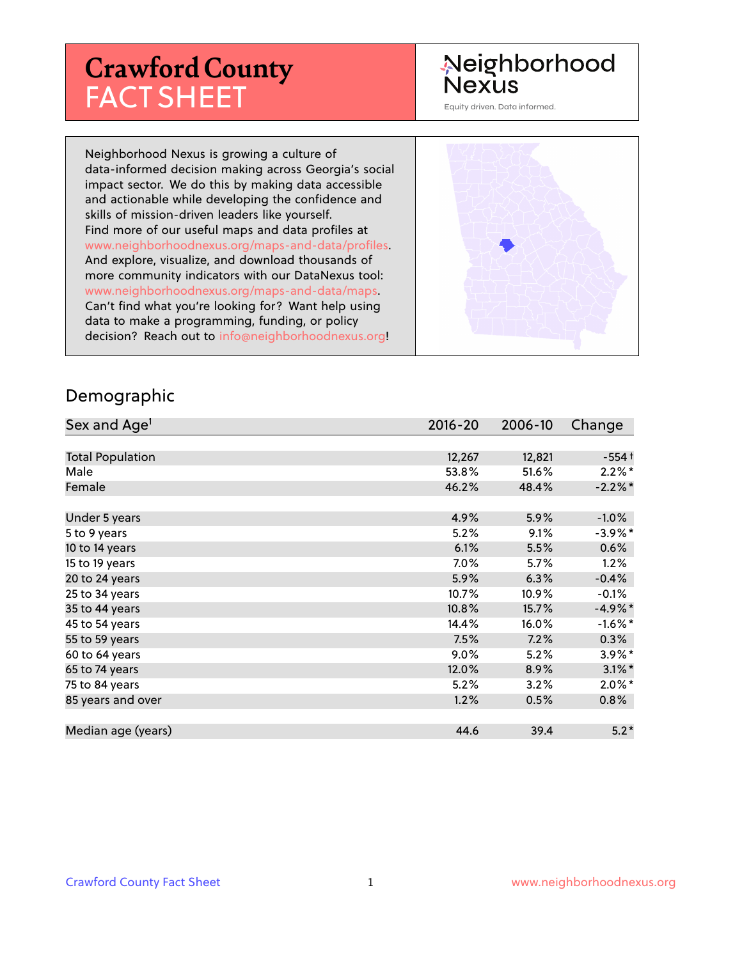# **Crawford County** FACT SHEET

# Neighborhood **Nexus**

Equity driven. Data informed.

Neighborhood Nexus is growing a culture of data-informed decision making across Georgia's social impact sector. We do this by making data accessible and actionable while developing the confidence and skills of mission-driven leaders like yourself. Find more of our useful maps and data profiles at www.neighborhoodnexus.org/maps-and-data/profiles. And explore, visualize, and download thousands of more community indicators with our DataNexus tool: www.neighborhoodnexus.org/maps-and-data/maps. Can't find what you're looking for? Want help using data to make a programming, funding, or policy decision? Reach out to [info@neighborhoodnexus.org!](mailto:info@neighborhoodnexus.org)



#### Demographic

| Sex and Age <sup>1</sup> | $2016 - 20$ | 2006-10 | Change               |
|--------------------------|-------------|---------|----------------------|
|                          |             |         |                      |
| <b>Total Population</b>  | 12,267      | 12,821  | $-554+$              |
| Male                     | 53.8%       | 51.6%   | $2.2\%$ *            |
| Female                   | 46.2%       | 48.4%   | $-2.2%$ *            |
|                          |             |         |                      |
| Under 5 years            | 4.9%        | 5.9%    | $-1.0\%$             |
| 5 to 9 years             | 5.2%        | 9.1%    | $-3.9\%$ *           |
| 10 to 14 years           | 6.1%        | 5.5%    | $0.6\%$              |
| 15 to 19 years           | 7.0%        | 5.7%    | 1.2%                 |
| 20 to 24 years           | 5.9%        | 6.3%    | $-0.4%$              |
| 25 to 34 years           | 10.7%       | 10.9%   | $-0.1%$              |
| 35 to 44 years           | 10.8%       | 15.7%   | $-4.9%$ *            |
| 45 to 54 years           | 14.4%       | 16.0%   | $-1.6\%$ *           |
| 55 to 59 years           | 7.5%        | 7.2%    | 0.3%                 |
| 60 to 64 years           | $9.0\%$     | 5.2%    | $3.9\%$ *            |
| 65 to 74 years           | 12.0%       | 8.9%    | $3.1\%$ <sup>*</sup> |
| 75 to 84 years           | 5.2%        | 3.2%    | $2.0\%$ *            |
| 85 years and over        | 1.2%        | 0.5%    | $0.8\%$              |
|                          |             |         |                      |
| Median age (years)       | 44.6        | 39.4    | $5.2*$               |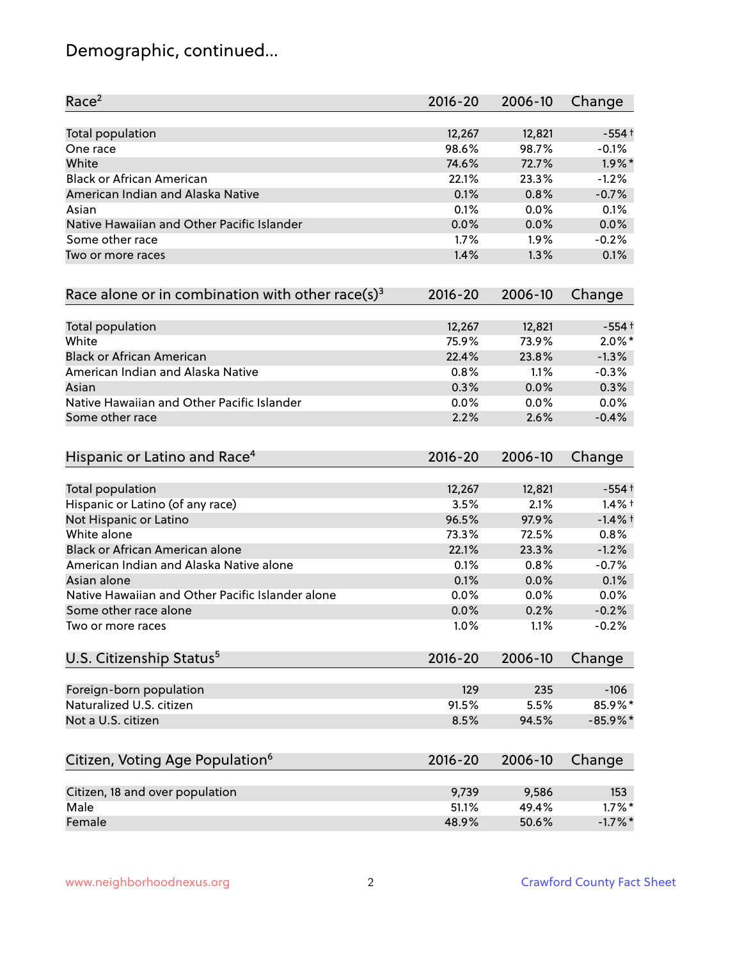# Demographic, continued...

| Race <sup>2</sup>                                             | 2016-20     | 2006-10      | Change     |
|---------------------------------------------------------------|-------------|--------------|------------|
| <b>Total population</b>                                       | 12,267      | 12,821       | $-554+$    |
| One race                                                      | 98.6%       | 98.7%        | $-0.1%$    |
| White                                                         | 74.6%       | 72.7%        | $1.9\%$ *  |
| <b>Black or African American</b>                              | 22.1%       | 23.3%        | $-1.2%$    |
| American Indian and Alaska Native                             | 0.1%        | 0.8%         | $-0.7%$    |
| Asian                                                         | 0.1%        | 0.0%         | 0.1%       |
| Native Hawaiian and Other Pacific Islander                    | 0.0%        | 0.0%         | 0.0%       |
| Some other race                                               | 1.7%        | 1.9%         | $-0.2%$    |
| Two or more races                                             | 1.4%        | 1.3%         | 0.1%       |
| Race alone or in combination with other race(s) <sup>3</sup>  | $2016 - 20$ | 2006-10      | Change     |
| Total population                                              | 12,267      | 12,821       | $-554+$    |
| White                                                         | 75.9%       | 73.9%        | $2.0\%$ *  |
| <b>Black or African American</b>                              | 22.4%       | 23.8%        | $-1.3%$    |
| American Indian and Alaska Native                             | 0.8%        | 1.1%         | $-0.3%$    |
| Asian                                                         | 0.3%        | 0.0%         | 0.3%       |
|                                                               | 0.0%        |              | 0.0%       |
| Native Hawaiian and Other Pacific Islander<br>Some other race | 2.2%        | 0.0%<br>2.6% | $-0.4%$    |
| Hispanic or Latino and Race <sup>4</sup>                      | $2016 - 20$ | 2006-10      | Change     |
| <b>Total population</b>                                       | 12,267      | 12,821       | $-554+$    |
| Hispanic or Latino (of any race)                              | 3.5%        | 2.1%         | $1.4%$ †   |
| Not Hispanic or Latino                                        | 96.5%       | 97.9%        | $-1.4%$ †  |
| White alone                                                   | 73.3%       | 72.5%        | 0.8%       |
| Black or African American alone                               | 22.1%       | 23.3%        | $-1.2%$    |
| American Indian and Alaska Native alone                       | 0.1%        | 0.8%         | $-0.7%$    |
| Asian alone                                                   | 0.1%        | 0.0%         | 0.1%       |
| Native Hawaiian and Other Pacific Islander alone              | 0.0%        | 0.0%         | 0.0%       |
| Some other race alone                                         | 0.0%        | 0.2%         | $-0.2%$    |
| Two or more races                                             | 1.0%        | 1.1%         | $-0.2%$    |
| U.S. Citizenship Status <sup>5</sup>                          | $2016 - 20$ | 2006-10      | Change     |
| Foreign-born population                                       | 129         | 235          | $-106$     |
| Naturalized U.S. citizen                                      | 91.5%       | 5.5%         | 85.9%*     |
| Not a U.S. citizen                                            | 8.5%        | 94.5%        | $-85.9%$ * |
|                                                               |             |              |            |
| Citizen, Voting Age Population <sup>6</sup>                   | $2016 - 20$ | 2006-10      | Change     |
| Citizen, 18 and over population                               | 9,739       | 9,586        | 153        |
| Male                                                          | 51.1%       | 49.4%        | $1.7\%$ *  |
| Female                                                        | 48.9%       | 50.6%        | $-1.7\%$ * |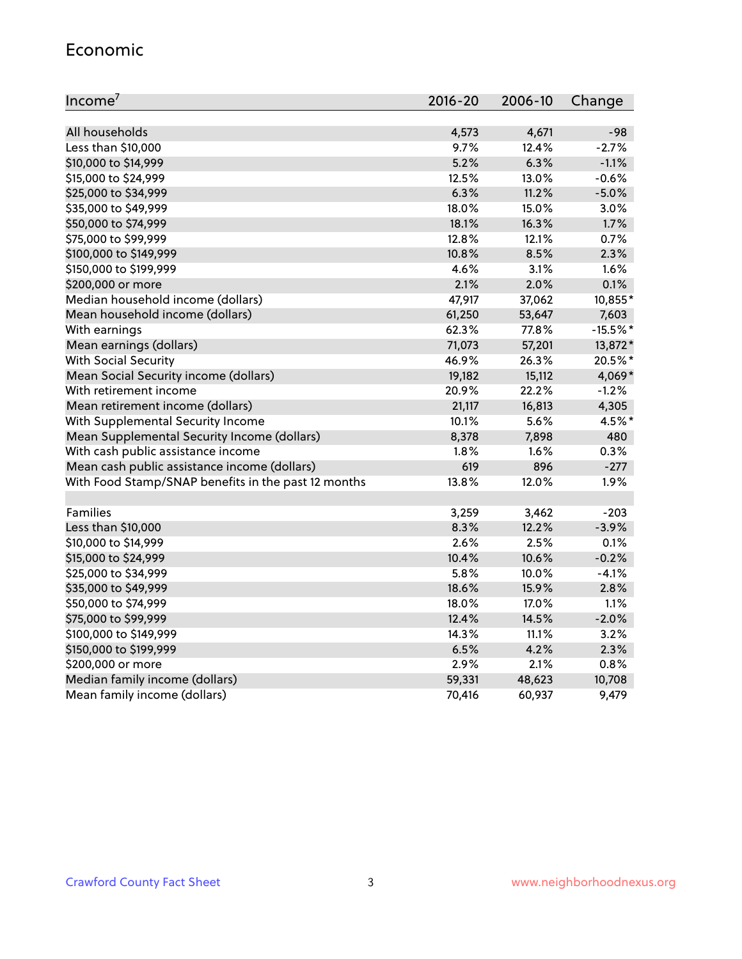#### Economic

| Income <sup>7</sup>                                 | $2016 - 20$ | 2006-10 | Change     |
|-----------------------------------------------------|-------------|---------|------------|
|                                                     |             |         |            |
| All households                                      | 4,573       | 4,671   | $-98$      |
| Less than \$10,000                                  | 9.7%        | 12.4%   | $-2.7%$    |
| \$10,000 to \$14,999                                | 5.2%        | 6.3%    | $-1.1%$    |
| \$15,000 to \$24,999                                | 12.5%       | 13.0%   | $-0.6%$    |
| \$25,000 to \$34,999                                | 6.3%        | 11.2%   | $-5.0%$    |
| \$35,000 to \$49,999                                | 18.0%       | 15.0%   | 3.0%       |
| \$50,000 to \$74,999                                | 18.1%       | 16.3%   | 1.7%       |
| \$75,000 to \$99,999                                | 12.8%       | 12.1%   | 0.7%       |
| \$100,000 to \$149,999                              | 10.8%       | 8.5%    | 2.3%       |
| \$150,000 to \$199,999                              | 4.6%        | 3.1%    | 1.6%       |
| \$200,000 or more                                   | 2.1%        | 2.0%    | 0.1%       |
| Median household income (dollars)                   | 47,917      | 37,062  | 10,855*    |
| Mean household income (dollars)                     | 61,250      | 53,647  | 7,603      |
| With earnings                                       | 62.3%       | 77.8%   | $-15.5%$ * |
| Mean earnings (dollars)                             | 71,073      | 57,201  | 13,872*    |
| <b>With Social Security</b>                         | 46.9%       | 26.3%   | 20.5%*     |
| Mean Social Security income (dollars)               | 19,182      | 15,112  | 4,069*     |
| With retirement income                              | 20.9%       | 22.2%   | $-1.2%$    |
| Mean retirement income (dollars)                    | 21,117      | 16,813  | 4,305      |
| With Supplemental Security Income                   | 10.1%       | 5.6%    | 4.5%*      |
| Mean Supplemental Security Income (dollars)         | 8,378       | 7,898   | 480        |
| With cash public assistance income                  | 1.8%        | 1.6%    | 0.3%       |
| Mean cash public assistance income (dollars)        | 619         | 896     | $-277$     |
| With Food Stamp/SNAP benefits in the past 12 months | 13.8%       | 12.0%   | 1.9%       |
|                                                     |             |         |            |
| Families                                            | 3,259       | 3,462   | $-203$     |
| Less than \$10,000                                  | 8.3%        | 12.2%   | $-3.9%$    |
| \$10,000 to \$14,999                                | 2.6%        | 2.5%    | 0.1%       |
| \$15,000 to \$24,999                                | 10.4%       | 10.6%   | $-0.2%$    |
| \$25,000 to \$34,999                                | 5.8%        | 10.0%   | $-4.1%$    |
| \$35,000 to \$49,999                                | 18.6%       | 15.9%   | 2.8%       |
| \$50,000 to \$74,999                                | 18.0%       | 17.0%   | 1.1%       |
| \$75,000 to \$99,999                                | 12.4%       | 14.5%   | $-2.0%$    |
| \$100,000 to \$149,999                              | 14.3%       | 11.1%   | 3.2%       |
| \$150,000 to \$199,999                              | 6.5%        | 4.2%    | 2.3%       |
| \$200,000 or more                                   | 2.9%        | 2.1%    | 0.8%       |
| Median family income (dollars)                      | 59,331      | 48,623  | 10,708     |
| Mean family income (dollars)                        | 70,416      | 60,937  | 9,479      |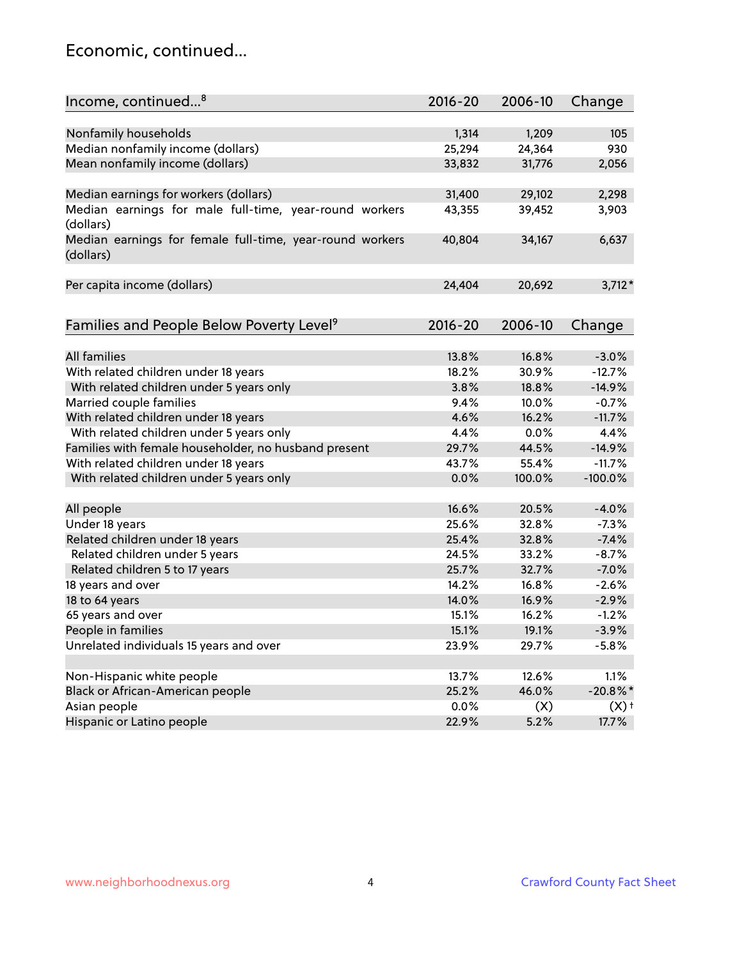### Economic, continued...

| Income, continued <sup>8</sup>                           | $2016 - 20$ | 2006-10 | Change      |
|----------------------------------------------------------|-------------|---------|-------------|
|                                                          |             |         |             |
| Nonfamily households                                     | 1,314       | 1,209   | 105         |
| Median nonfamily income (dollars)                        | 25,294      | 24,364  | 930         |
| Mean nonfamily income (dollars)                          | 33,832      | 31,776  | 2,056       |
|                                                          |             |         |             |
| Median earnings for workers (dollars)                    | 31,400      | 29,102  | 2,298       |
| Median earnings for male full-time, year-round workers   | 43,355      | 39,452  | 3,903       |
| (dollars)                                                |             |         |             |
| Median earnings for female full-time, year-round workers | 40,804      | 34,167  | 6,637       |
| (dollars)                                                |             |         |             |
|                                                          |             |         |             |
| Per capita income (dollars)                              | 24,404      | 20,692  | $3,712*$    |
|                                                          |             |         |             |
| Families and People Below Poverty Level <sup>9</sup>     | 2016-20     | 2006-10 | Change      |
|                                                          |             |         |             |
| <b>All families</b>                                      | 13.8%       | 16.8%   | $-3.0%$     |
| With related children under 18 years                     | 18.2%       | 30.9%   | $-12.7%$    |
| With related children under 5 years only                 | 3.8%        | 18.8%   | $-14.9%$    |
| Married couple families                                  | 9.4%        | 10.0%   | $-0.7%$     |
| With related children under 18 years                     | 4.6%        | 16.2%   | $-11.7%$    |
| With related children under 5 years only                 | 4.4%        | 0.0%    | 4.4%        |
| Families with female householder, no husband present     | 29.7%       | 44.5%   | $-14.9%$    |
| With related children under 18 years                     | 43.7%       | 55.4%   | $-11.7%$    |
| With related children under 5 years only                 | 0.0%        | 100.0%  | $-100.0%$   |
|                                                          |             |         |             |
| All people                                               | 16.6%       | 20.5%   | $-4.0%$     |
| Under 18 years                                           | 25.6%       | 32.8%   | $-7.3%$     |
| Related children under 18 years                          | 25.4%       | 32.8%   | $-7.4%$     |
| Related children under 5 years                           | 24.5%       | 33.2%   | $-8.7%$     |
| Related children 5 to 17 years                           | 25.7%       | 32.7%   | $-7.0%$     |
| 18 years and over                                        | 14.2%       | 16.8%   | $-2.6%$     |
| 18 to 64 years                                           | 14.0%       | 16.9%   | $-2.9%$     |
| 65 years and over                                        | 15.1%       | 16.2%   | $-1.2%$     |
| People in families                                       | 15.1%       | 19.1%   | $-3.9%$     |
| Unrelated individuals 15 years and over                  | 23.9%       | 29.7%   | $-5.8%$     |
|                                                          |             |         |             |
| Non-Hispanic white people                                | 13.7%       | 12.6%   | 1.1%        |
| Black or African-American people                         | 25.2%       | 46.0%   | $-20.8\%$ * |
| Asian people                                             | 0.0%        | (X)     | (X)         |
| Hispanic or Latino people                                | 22.9%       | 5.2%    | 17.7%       |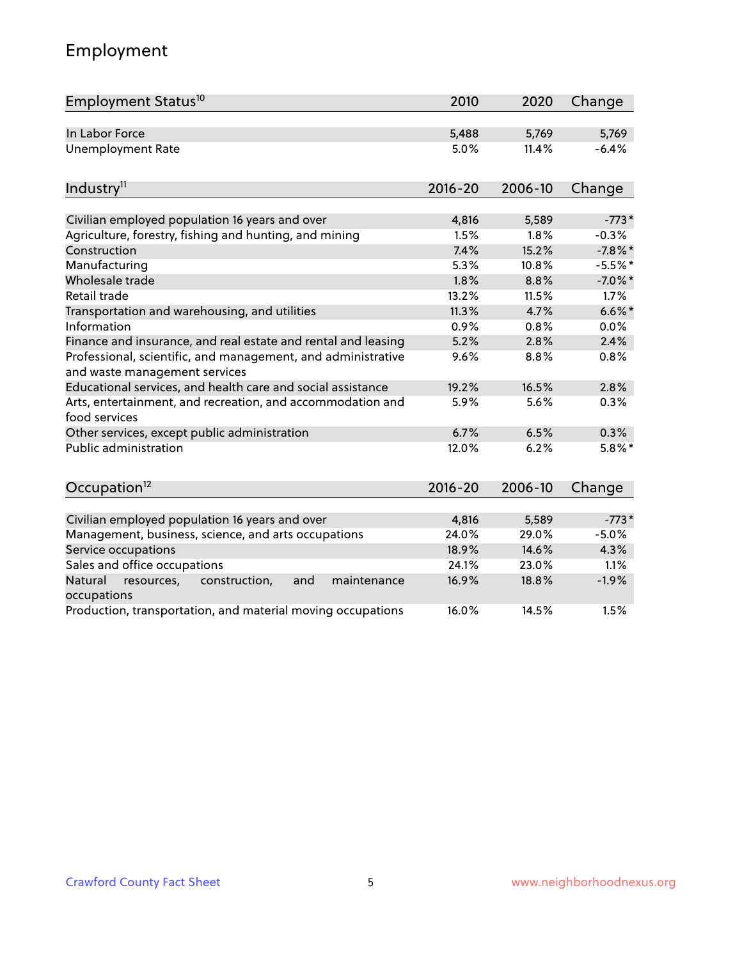# Employment

| Employment Status <sup>10</sup>                                                               | 2010        | 2020    | Change     |
|-----------------------------------------------------------------------------------------------|-------------|---------|------------|
| In Labor Force                                                                                | 5,488       | 5,769   | 5,769      |
| <b>Unemployment Rate</b>                                                                      | 5.0%        | 11.4%   | $-6.4%$    |
| Industry <sup>11</sup>                                                                        | $2016 - 20$ | 2006-10 | Change     |
|                                                                                               |             |         |            |
| Civilian employed population 16 years and over                                                | 4,816       | 5,589   | $-773*$    |
| Agriculture, forestry, fishing and hunting, and mining                                        | 1.5%        | 1.8%    | $-0.3%$    |
| Construction                                                                                  | 7.4%        | 15.2%   | $-7.8\%$ * |
| Manufacturing                                                                                 | 5.3%        | 10.8%   | $-5.5%$ *  |
| Wholesale trade                                                                               | 1.8%        | 8.8%    | $-7.0\%$ * |
| Retail trade                                                                                  | 13.2%       | 11.5%   | 1.7%       |
| Transportation and warehousing, and utilities                                                 | 11.3%       | 4.7%    | $6.6\%$ *  |
| Information                                                                                   | 0.9%        | 0.8%    | 0.0%       |
| Finance and insurance, and real estate and rental and leasing                                 | 5.2%        | 2.8%    | 2.4%       |
| Professional, scientific, and management, and administrative<br>and waste management services | 9.6%        | 8.8%    | 0.8%       |
| Educational services, and health care and social assistance                                   | 19.2%       | 16.5%   | 2.8%       |
| Arts, entertainment, and recreation, and accommodation and<br>food services                   | 5.9%        | 5.6%    | 0.3%       |
| Other services, except public administration                                                  | 6.7%        | 6.5%    | 0.3%       |
| Public administration                                                                         | 12.0%       | 6.2%    | $5.8\%$ *  |
| Occupation <sup>12</sup>                                                                      | $2016 - 20$ | 2006-10 | Change     |
|                                                                                               |             |         |            |
| Civilian employed population 16 years and over                                                | 4,816       | 5,589   | $-773*$    |
| Management, business, science, and arts occupations                                           | 24.0%       | 29.0%   | $-5.0%$    |
| Service occupations                                                                           | 18.9%       | 14.6%   | 4.3%       |
| Sales and office occupations                                                                  | 24.1%       | 23.0%   | 1.1%       |
| Natural<br>construction,<br>and<br>maintenance<br>resources,<br>occupations                   | 16.9%       | 18.8%   | $-1.9%$    |
| Production, transportation, and material moving occupations                                   | 16.0%       | 14.5%   | 1.5%       |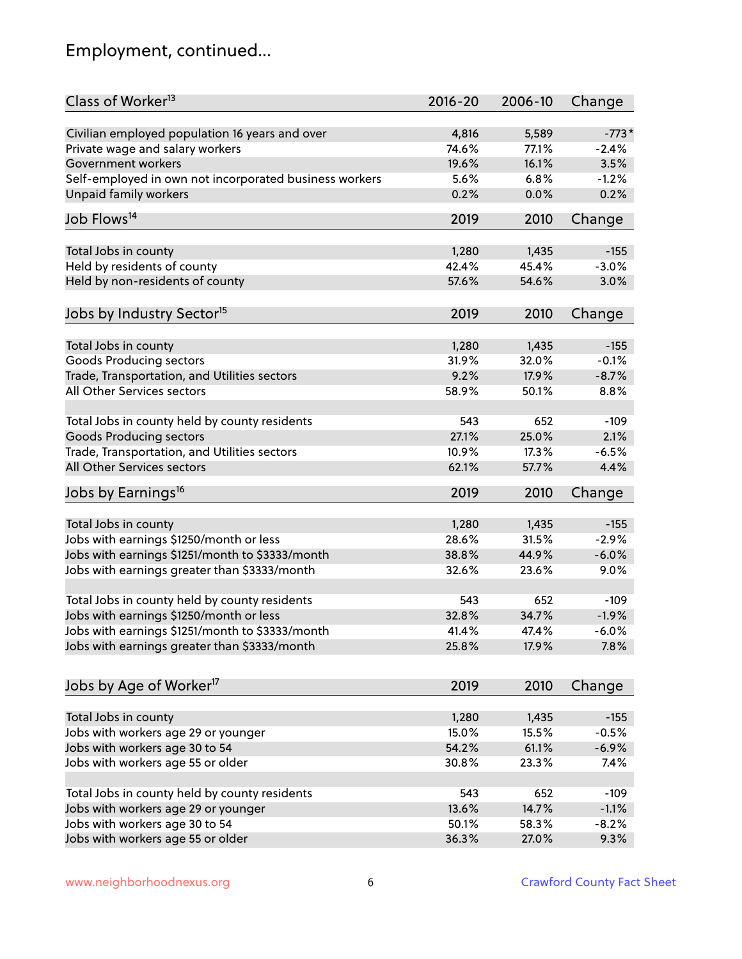# Employment, continued...

| Class of Worker <sup>13</sup>                          | $2016 - 20$ | 2006-10 | Change   |
|--------------------------------------------------------|-------------|---------|----------|
| Civilian employed population 16 years and over         | 4,816       | 5,589   | $-773*$  |
| Private wage and salary workers                        | 74.6%       | 77.1%   | $-2.4%$  |
| Government workers                                     | 19.6%       | 16.1%   | 3.5%     |
| Self-employed in own not incorporated business workers | 5.6%        | 6.8%    | $-1.2%$  |
| Unpaid family workers                                  | 0.2%        | 0.0%    | 0.2%     |
| Job Flows <sup>14</sup>                                | 2019        | 2010    | Change   |
| Total Jobs in county                                   | 1,280       | 1,435   | $-155$   |
| Held by residents of county                            | 42.4%       | 45.4%   | $-3.0%$  |
|                                                        | 57.6%       | 54.6%   | 3.0%     |
| Held by non-residents of county                        |             |         |          |
| Jobs by Industry Sector <sup>15</sup>                  | 2019        | 2010    | Change   |
| Total Jobs in county                                   | 1,280       | 1,435   | $-155$   |
| Goods Producing sectors                                | 31.9%       | 32.0%   | $-0.1%$  |
| Trade, Transportation, and Utilities sectors           | 9.2%        | 17.9%   | $-8.7%$  |
| All Other Services sectors                             | 58.9%       | 50.1%   | 8.8%     |
|                                                        |             |         |          |
| Total Jobs in county held by county residents          | 543         | 652     | $-109$   |
| <b>Goods Producing sectors</b>                         | 27.1%       | 25.0%   | 2.1%     |
| Trade, Transportation, and Utilities sectors           | 10.9%       | 17.3%   | $-6.5%$  |
| All Other Services sectors                             | 62.1%       | 57.7%   | 4.4%     |
| Jobs by Earnings <sup>16</sup>                         | 2019        | 2010    | Change   |
|                                                        |             |         |          |
| Total Jobs in county                                   | 1,280       | 1,435   | $-155$   |
| Jobs with earnings \$1250/month or less                | 28.6%       | 31.5%   | $-2.9%$  |
| Jobs with earnings \$1251/month to \$3333/month        | 38.8%       | 44.9%   | $-6.0%$  |
| Jobs with earnings greater than \$3333/month           | 32.6%       | 23.6%   | 9.0%     |
| Total Jobs in county held by county residents          | 543         | 652     | $-109$   |
| Jobs with earnings \$1250/month or less                | 32.8%       | 34.7%   | $-1.9%$  |
| Jobs with earnings \$1251/month to \$3333/month        | 41.4%       | 47.4%   | $-6.0\%$ |
| Jobs with earnings greater than \$3333/month           | 25.8%       | 17.9%   | 7.8%     |
| Jobs by Age of Worker <sup>17</sup>                    | 2019        | 2010    | Change   |
|                                                        |             |         |          |
| Total Jobs in county                                   | 1,280       | 1,435   | $-155$   |
| Jobs with workers age 29 or younger                    | 15.0%       | 15.5%   | $-0.5%$  |
| Jobs with workers age 30 to 54                         | 54.2%       | 61.1%   | $-6.9%$  |
| Jobs with workers age 55 or older                      | 30.8%       | 23.3%   | 7.4%     |
|                                                        |             |         |          |
| Total Jobs in county held by county residents          | 543         | 652     | $-109$   |
| Jobs with workers age 29 or younger                    | 13.6%       | 14.7%   | $-1.1%$  |
| Jobs with workers age 30 to 54                         | 50.1%       | 58.3%   | $-8.2%$  |
| Jobs with workers age 55 or older                      | 36.3%       | 27.0%   | 9.3%     |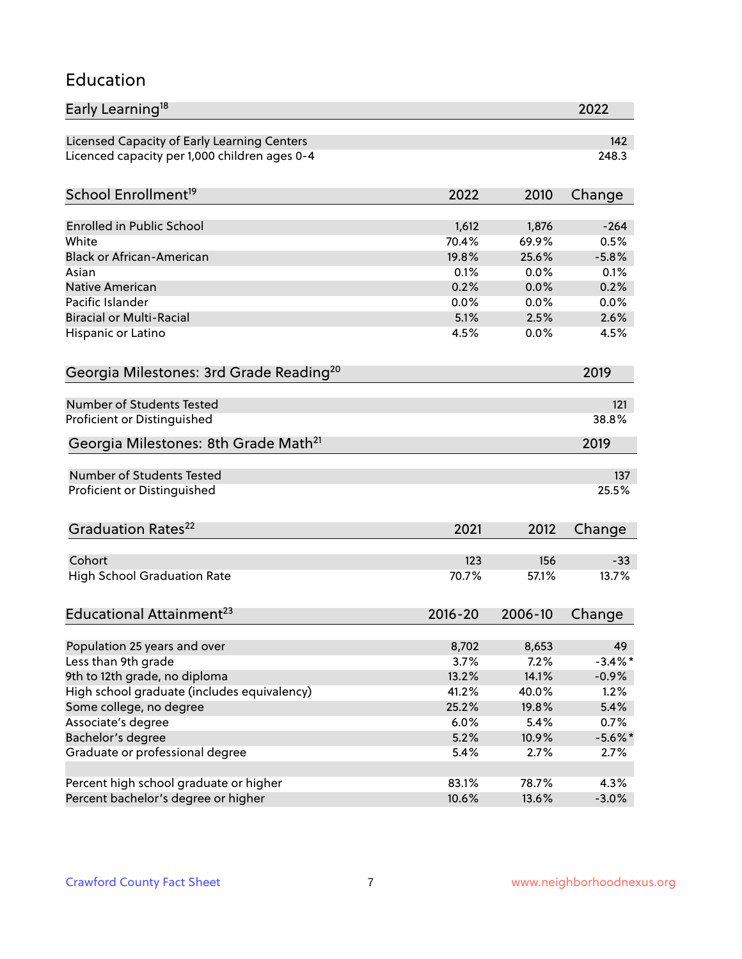#### Education

| Early Learning <sup>18</sup>                                                 |               |               | 2022                  |
|------------------------------------------------------------------------------|---------------|---------------|-----------------------|
| Licensed Capacity of Early Learning Centers                                  |               |               | 142                   |
| Licenced capacity per 1,000 children ages 0-4                                |               |               | 248.3                 |
|                                                                              |               |               |                       |
| School Enrollment <sup>19</sup>                                              | 2022          | 2010          | Change                |
| <b>Enrolled in Public School</b>                                             | 1,612         | 1,876         | $-264$                |
| White                                                                        | 70.4%         | 69.9%         | 0.5%                  |
| <b>Black or African-American</b>                                             | 19.8%         | 25.6%         | $-5.8%$               |
| Asian                                                                        | 0.1%          | 0.0%          | 0.1%                  |
| <b>Native American</b>                                                       | 0.2%          | 0.0%          | 0.2%                  |
| Pacific Islander                                                             | 0.0%          | 0.0%          | 0.0%                  |
| <b>Biracial or Multi-Racial</b>                                              | 5.1%          | 2.5%          | 2.6%                  |
| Hispanic or Latino                                                           | 4.5%          | 0.0%          | 4.5%                  |
| Georgia Milestones: 3rd Grade Reading <sup>20</sup>                          |               |               | 2019                  |
|                                                                              |               |               |                       |
| Number of Students Tested                                                    |               |               | 121                   |
| Proficient or Distinguished                                                  |               |               | 38.8%                 |
| Georgia Milestones: 8th Grade Math <sup>21</sup>                             |               |               | 2019                  |
| <b>Number of Students Tested</b>                                             |               |               | 137                   |
| Proficient or Distinguished                                                  |               |               | 25.5%                 |
|                                                                              |               |               |                       |
| Graduation Rates <sup>22</sup>                                               | 2021          | 2012          | Change                |
|                                                                              |               |               |                       |
| Cohort                                                                       | 123           | 156           | $-33$                 |
| <b>High School Graduation Rate</b>                                           | 70.7%         | 57.1%         | 13.7%                 |
| Educational Attainment <sup>23</sup>                                         | $2016 - 20$   | 2006-10       | Change                |
|                                                                              |               |               |                       |
| Population 25 years and over<br>Less than 9th grade                          | 8,702         | 8,653         | 49                    |
|                                                                              | 3.7%<br>13.2% | 7.2%<br>14.1% | $-3.4\%$ *<br>$-0.9%$ |
| 9th to 12th grade, no diploma<br>High school graduate (includes equivalency) | 41.2%         | 40.0%         | 1.2%                  |
|                                                                              | 25.2%         | 19.8%         | 5.4%                  |
| Some college, no degree<br>Associate's degree                                | 6.0%          | 5.4%          | 0.7%                  |
|                                                                              | 5.2%          |               | $-5.6\%$ *            |
| Bachelor's degree<br>Graduate or professional degree                         | 5.4%          | 10.9%         |                       |
|                                                                              |               | 2.7%          | 2.7%                  |
| Percent high school graduate or higher                                       | 83.1%         | 78.7%         | 4.3%                  |
| Percent bachelor's degree or higher                                          | 10.6%         | 13.6%         | $-3.0%$               |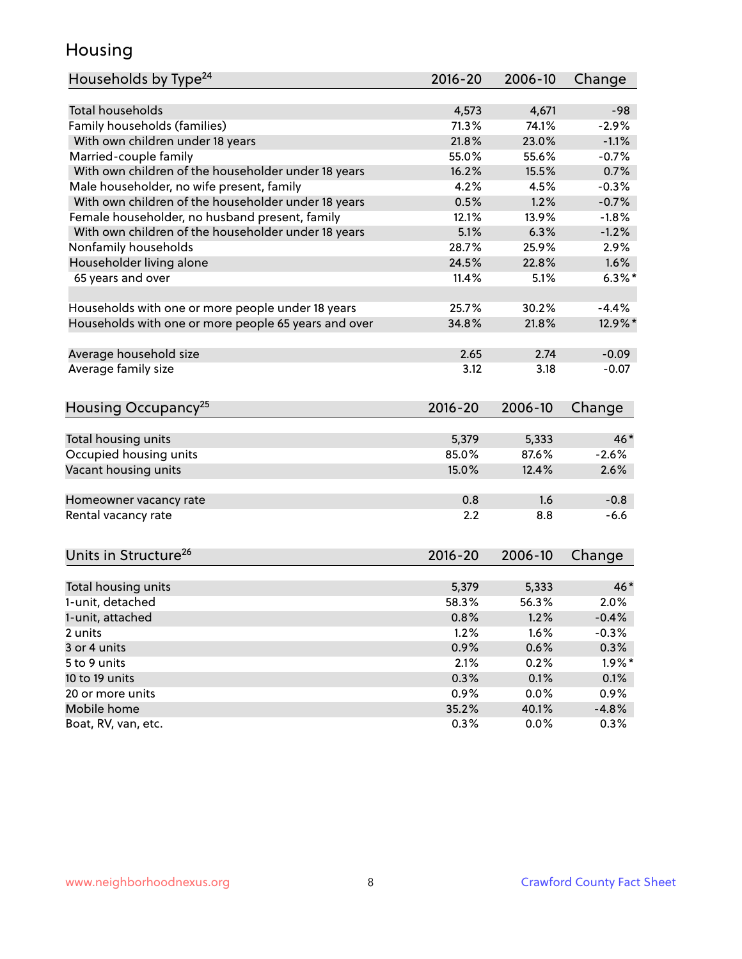### Housing

| Households by Type <sup>24</sup>                     | 2016-20     | 2006-10 | Change    |
|------------------------------------------------------|-------------|---------|-----------|
|                                                      |             |         |           |
| <b>Total households</b>                              | 4,573       | 4,671   | $-98$     |
| Family households (families)                         | 71.3%       | 74.1%   | $-2.9%$   |
| With own children under 18 years                     | 21.8%       | 23.0%   | $-1.1%$   |
| Married-couple family                                | 55.0%       | 55.6%   | $-0.7%$   |
| With own children of the householder under 18 years  | 16.2%       | 15.5%   | 0.7%      |
| Male householder, no wife present, family            | 4.2%        | 4.5%    | $-0.3%$   |
| With own children of the householder under 18 years  | 0.5%        | 1.2%    | $-0.7%$   |
| Female householder, no husband present, family       | 12.1%       | 13.9%   | $-1.8%$   |
| With own children of the householder under 18 years  | 5.1%        | 6.3%    | $-1.2%$   |
| Nonfamily households                                 | 28.7%       | 25.9%   | 2.9%      |
| Householder living alone                             | 24.5%       | 22.8%   | 1.6%      |
| 65 years and over                                    | 11.4%       | 5.1%    | $6.3\%$ * |
| Households with one or more people under 18 years    | 25.7%       | 30.2%   | $-4.4%$   |
| Households with one or more people 65 years and over | 34.8%       | 21.8%   | 12.9%*    |
|                                                      |             |         |           |
| Average household size                               | 2.65        | 2.74    | $-0.09$   |
| Average family size                                  | 3.12        | 3.18    | $-0.07$   |
| Housing Occupancy <sup>25</sup>                      | $2016 - 20$ | 2006-10 | Change    |
|                                                      |             |         |           |
| Total housing units                                  | 5,379       | 5,333   | $46*$     |
| Occupied housing units                               | 85.0%       | 87.6%   | $-2.6%$   |
| Vacant housing units                                 | 15.0%       | 12.4%   | 2.6%      |
| Homeowner vacancy rate                               | 0.8         | 1.6     | $-0.8$    |
| Rental vacancy rate                                  | 2.2         | 8.8     | $-6.6$    |
|                                                      |             |         |           |
| Units in Structure <sup>26</sup>                     | 2016-20     | 2006-10 | Change    |
| Total housing units                                  | 5,379       | 5,333   | $46*$     |
| 1-unit, detached                                     | 58.3%       | 56.3%   | 2.0%      |
| 1-unit, attached                                     | 0.8%        | 1.2%    | $-0.4%$   |
| 2 units                                              | 1.2%        | 1.6%    | $-0.3%$   |
| 3 or 4 units                                         | 0.9%        | 0.6%    | 0.3%      |
|                                                      |             |         |           |
| 5 to 9 units                                         | 2.1%        | 0.2%    | $1.9\%$ * |
| 10 to 19 units                                       | 0.3%        | 0.1%    | 0.1%      |
| 20 or more units                                     | 0.9%        | 0.0%    | 0.9%      |
| Mobile home                                          | 35.2%       | 40.1%   | $-4.8%$   |
| Boat, RV, van, etc.                                  | 0.3%        | 0.0%    | $0.3\%$   |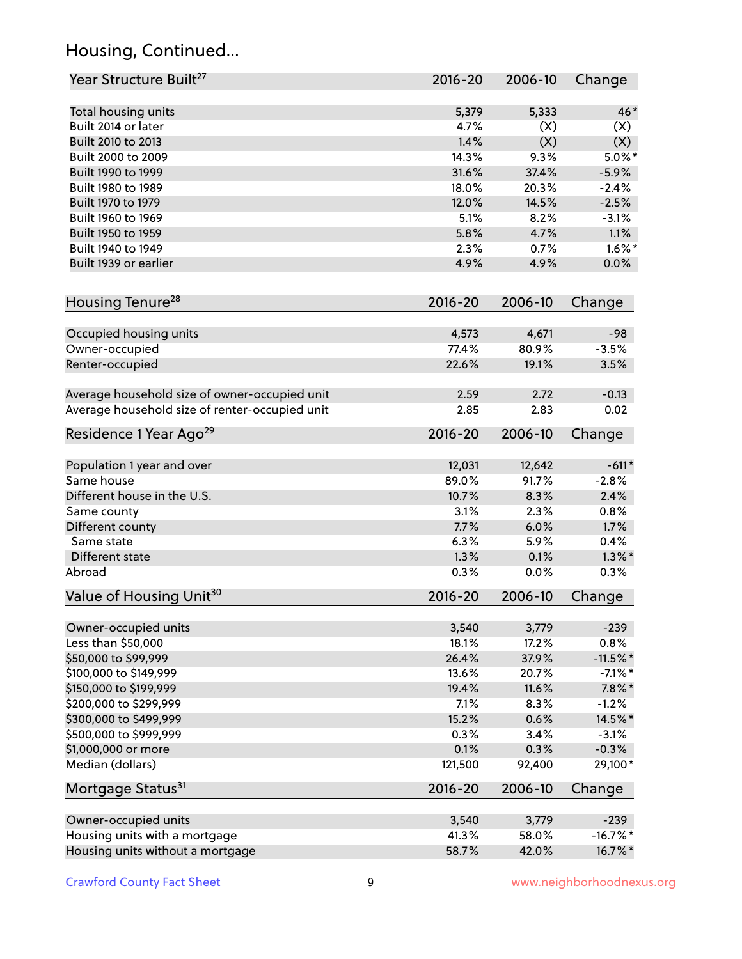# Housing, Continued...

| Year Structure Built <sup>27</sup>             | 2016-20     | 2006-10 | Change     |
|------------------------------------------------|-------------|---------|------------|
| Total housing units                            | 5,379       | 5,333   | 46*        |
| Built 2014 or later                            | 4.7%        | (X)     | (X)        |
| Built 2010 to 2013                             | 1.4%        | (X)     | (X)        |
| Built 2000 to 2009                             | 14.3%       | 9.3%    | $5.0\%$ *  |
| Built 1990 to 1999                             | 31.6%       | 37.4%   | $-5.9%$    |
| Built 1980 to 1989                             | 18.0%       | 20.3%   | $-2.4%$    |
| Built 1970 to 1979                             | 12.0%       | 14.5%   | $-2.5%$    |
| Built 1960 to 1969                             | 5.1%        | 8.2%    | $-3.1%$    |
| Built 1950 to 1959                             | 5.8%        | 4.7%    | 1.1%       |
| Built 1940 to 1949                             | 2.3%        | 0.7%    | $1.6\%$ *  |
| Built 1939 or earlier                          | 4.9%        | 4.9%    | 0.0%       |
| Housing Tenure <sup>28</sup>                   | $2016 - 20$ | 2006-10 | Change     |
|                                                |             |         |            |
| Occupied housing units                         | 4,573       | 4,671   | $-98$      |
| Owner-occupied                                 | 77.4%       | 80.9%   | $-3.5%$    |
| Renter-occupied                                | 22.6%       | 19.1%   | 3.5%       |
| Average household size of owner-occupied unit  | 2.59        | 2.72    | $-0.13$    |
| Average household size of renter-occupied unit | 2.85        | 2.83    | 0.02       |
| Residence 1 Year Ago <sup>29</sup>             | 2016-20     | 2006-10 | Change     |
| Population 1 year and over                     | 12,031      | 12,642  | $-611*$    |
| Same house                                     | 89.0%       | 91.7%   | $-2.8%$    |
| Different house in the U.S.                    | 10.7%       | 8.3%    | 2.4%       |
| Same county                                    | 3.1%        | 2.3%    | 0.8%       |
| Different county                               | 7.7%        | 6.0%    | 1.7%       |
| Same state                                     | 6.3%        | 5.9%    | 0.4%       |
| Different state                                | 1.3%        | 0.1%    | $1.3\%$ *  |
| Abroad                                         | 0.3%        | 0.0%    | 0.3%       |
| Value of Housing Unit <sup>30</sup>            | $2016 - 20$ | 2006-10 | Change     |
| Owner-occupied units                           | 3,540       | 3,779   | $-239$     |
| Less than \$50,000                             | 18.1%       | 17.2%   | 0.8%       |
| \$50,000 to \$99,999                           | 26.4%       | 37.9%   | $-11.5%$ * |
| \$100,000 to \$149,999                         | 13.6%       | 20.7%   | $-7.1\%$ * |
| \$150,000 to \$199,999                         | 19.4%       | 11.6%   | $7.8\%$ *  |
| \$200,000 to \$299,999                         | 7.1%        | 8.3%    | $-1.2%$    |
| \$300,000 to \$499,999                         | 15.2%       | 0.6%    | 14.5%*     |
| \$500,000 to \$999,999                         | 0.3%        | 3.4%    | $-3.1%$    |
| \$1,000,000 or more                            | 0.1%        | 0.3%    | $-0.3%$    |
| Median (dollars)                               | 121,500     | 92,400  | 29,100*    |
| Mortgage Status <sup>31</sup>                  | $2016 - 20$ | 2006-10 | Change     |
| Owner-occupied units                           | 3,540       | 3,779   | $-239$     |
| Housing units with a mortgage                  | 41.3%       | 58.0%   | $-16.7%$ * |
| Housing units without a mortgage               | 58.7%       | 42.0%   | 16.7%*     |
|                                                |             |         |            |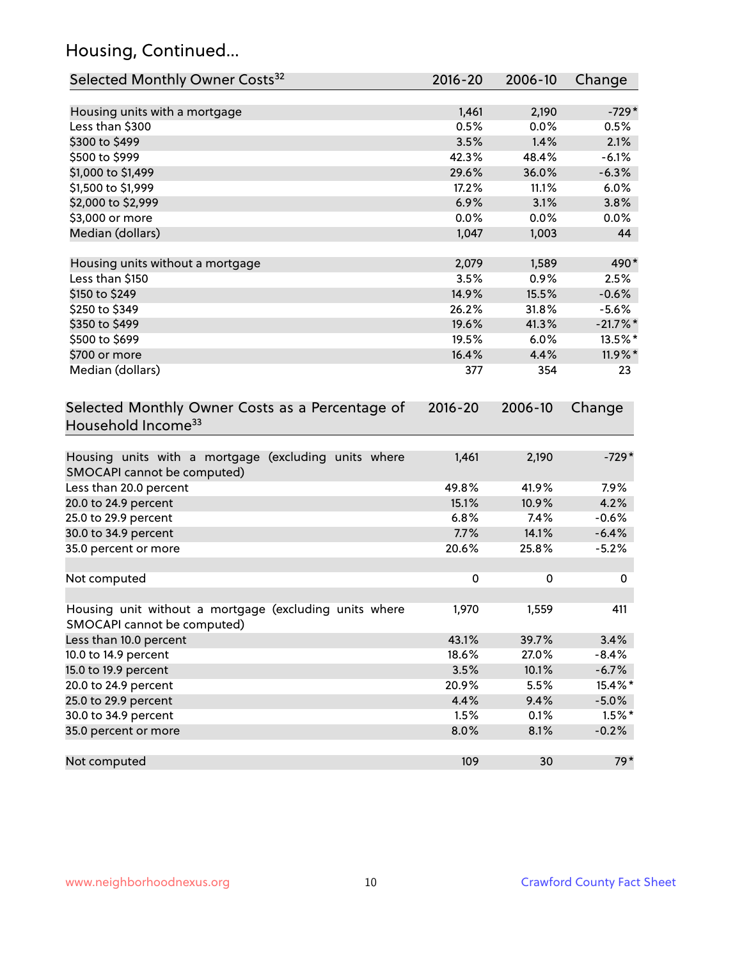# Housing, Continued...

| Selected Monthly Owner Costs <sup>32</sup>                                            | 2016-20   | 2006-10   | Change   |
|---------------------------------------------------------------------------------------|-----------|-----------|----------|
| Housing units with a mortgage                                                         | 1,461     | 2,190     | $-729*$  |
| Less than \$300                                                                       | 0.5%      | 0.0%      | 0.5%     |
| \$300 to \$499                                                                        | 3.5%      | 1.4%      | 2.1%     |
| \$500 to \$999                                                                        | 42.3%     | 48.4%     | $-6.1%$  |
| \$1,000 to \$1,499                                                                    | 29.6%     | 36.0%     | $-6.3%$  |
| \$1,500 to \$1,999                                                                    | 17.2%     | 11.1%     | 6.0%     |
| \$2,000 to \$2,999                                                                    | 6.9%      | 3.1%      | 3.8%     |
| \$3,000 or more                                                                       | 0.0%      | 0.0%      | 0.0%     |
| Median (dollars)                                                                      | 1,047     | 1,003     | 44       |
| Housing units without a mortgage                                                      | 2,079     | 1,589     | 490*     |
| Less than \$150                                                                       | 3.5%      | 0.9%      | 2.5%     |
| \$150 to \$249                                                                        | 14.9%     | 15.5%     | $-0.6%$  |
| \$250 to \$349                                                                        | 26.2%     | 31.8%     | $-5.6%$  |
| \$350 to \$499                                                                        | 19.6%     | 41.3%     | $-21.7%$ |
| \$500 to \$699                                                                        | 19.5%     | 6.0%      | 13.5%*   |
| \$700 or more                                                                         | 16.4%     | 4.4%      | 11.9%*   |
| Median (dollars)                                                                      | 377       | 354       | 23       |
| Household Income <sup>33</sup>                                                        |           |           |          |
| Housing units with a mortgage (excluding units where<br>SMOCAPI cannot be computed)   | 1,461     | 2,190     | $-729*$  |
| Less than 20.0 percent                                                                | 49.8%     | 41.9%     | 7.9%     |
| 20.0 to 24.9 percent                                                                  | 15.1%     | 10.9%     | 4.2%     |
| 25.0 to 29.9 percent                                                                  | 6.8%      | 7.4%      | $-0.6%$  |
| 30.0 to 34.9 percent                                                                  | 7.7%      | 14.1%     | $-6.4%$  |
| 35.0 percent or more                                                                  | 20.6%     | 25.8%     | $-5.2%$  |
| Not computed                                                                          | $\pmb{0}$ | $\pmb{0}$ | 0        |
| Housing unit without a mortgage (excluding units where<br>SMOCAPI cannot be computed) | 1,970     | 1,559     | 411      |
| Less than 10.0 percent                                                                | 43.1%     | 39.7%     | 3.4%     |
| 10.0 to 14.9 percent                                                                  | 18.6%     | 27.0%     | $-8.4%$  |
| 15.0 to 19.9 percent                                                                  | 3.5%      | 10.1%     | $-6.7%$  |
| 20.0 to 24.9 percent                                                                  | 20.9%     | 5.5%      | 15.4%*   |
| 25.0 to 29.9 percent                                                                  | 4.4%      | 9.4%      | $-5.0%$  |
| 30.0 to 34.9 percent                                                                  | 1.5%      | 0.1%      | $1.5%$ * |
| 35.0 percent or more                                                                  | 8.0%      | 8.1%      | $-0.2%$  |
| Not computed                                                                          | 109       | 30        | $79*$    |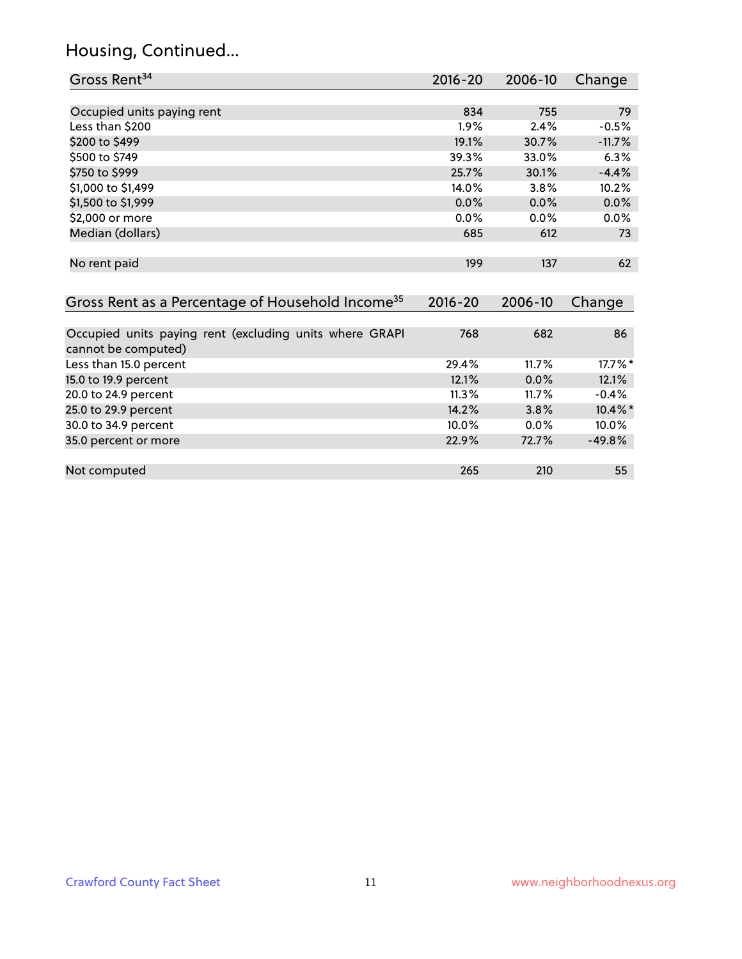#### Housing, Continued...

35.0 percent or more

| Gross Rent <sup>34</sup>                                                       | $2016 - 20$ | 2006-10  | Change     |
|--------------------------------------------------------------------------------|-------------|----------|------------|
|                                                                                |             |          |            |
| Occupied units paying rent                                                     | 834         | 755      | 79         |
| Less than \$200                                                                | $1.9\%$     | 2.4%     | $-0.5%$    |
| \$200 to \$499                                                                 | 19.1%       | 30.7%    | $-11.7%$   |
| \$500 to \$749                                                                 | 39.3%       | 33.0%    | 6.3%       |
| \$750 to \$999                                                                 | 25.7%       | 30.1%    | $-4.4%$    |
| \$1,000 to \$1,499                                                             | 14.0%       | 3.8%     | 10.2%      |
| \$1,500 to \$1,999                                                             | $0.0\%$     | 0.0%     | 0.0%       |
| \$2,000 or more                                                                | $0.0\%$     | $0.0\%$  | $0.0\%$    |
| Median (dollars)                                                               | 685         | 612      | 73         |
|                                                                                |             |          |            |
| No rent paid                                                                   | 199         | 137      | 62         |
|                                                                                |             |          |            |
| Gross Rent as a Percentage of Household Income <sup>35</sup>                   | $2016 - 20$ | 2006-10  | Change     |
|                                                                                |             |          |            |
| Occupied units paying rent (excluding units where GRAPI<br>cannot be computed) | 768         | 682      | 86         |
| Less than 15.0 percent                                                         | 29.4%       | 11.7%    | $17.7\%$ * |
| 15.0 to 19.9 percent                                                           | 12.1%       | 0.0%     | 12.1%      |
| 20.0 to 24.9 percent                                                           | 11.3%       | $11.7\%$ | $-0.4%$    |

20.0 to 24.9 percent 11.3% 11.3% 11.7% -0.4%<br>25.0 to 29.9 percent 14.2% 14.2% 10.4% 10.4%

30.0 to 34.9 percent 10.0% 10.0% 10.0% 10.0% 10.0% 10.0% 10.0% 10.0% 10.0% 10.0% 10.0% 10.0% 10.0% 10.0% 10.0%<br>35.0 percent or more 10.0 minutes and 10.0 minutes 10.0 minutes 22.9% 12.7% 149.8% 149.8%

Not computed **265** 210 255

25.0 to 29.9 percent 25.0 to 29.9 percent 25.8%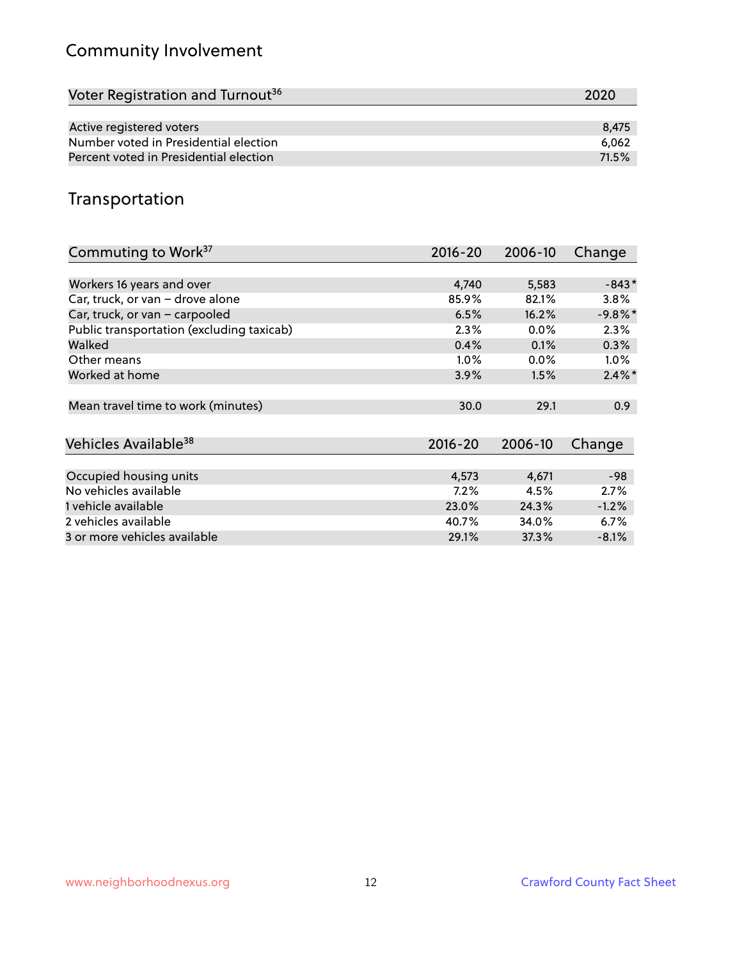# Community Involvement

| Voter Registration and Turnout <sup>36</sup> | 2020  |
|----------------------------------------------|-------|
|                                              |       |
| Active registered voters                     | 8.475 |
| Number voted in Presidential election        | 6.062 |
| Percent voted in Presidential election       | 71.5% |

## Transportation

| Commuting to Work <sup>37</sup>           | 2016-20     | 2006-10 | Change     |
|-------------------------------------------|-------------|---------|------------|
|                                           |             |         |            |
| Workers 16 years and over                 | 4,740       | 5,583   | $-843*$    |
| Car, truck, or van - drove alone          | 85.9%       | 82.1%   | 3.8%       |
| Car, truck, or van - carpooled            | 6.5%        | 16.2%   | $-9.8\%$ * |
| Public transportation (excluding taxicab) | 2.3%        | $0.0\%$ | 2.3%       |
| Walked                                    | 0.4%        | 0.1%    | 0.3%       |
| Other means                               | $1.0\%$     | $0.0\%$ | $1.0\%$    |
| Worked at home                            | 3.9%        | 1.5%    | $2.4\%$ *  |
|                                           |             |         |            |
| Mean travel time to work (minutes)        | 30.0        | 29.1    | 0.9        |
|                                           |             |         |            |
| Vehicles Available <sup>38</sup>          | $2016 - 20$ | 2006-10 | Change     |
|                                           |             |         |            |
| Occupied housing units                    | 4,573       | 4,671   | $-98$      |
| No vehicles available                     | 7.2%        | 4.5%    | 2.7%       |
| 1 vehicle available                       | 23.0%       | 24.3%   | $-1.2%$    |
| 2 vehicles available                      | 40.7%       | 34.0%   | 6.7%       |
| 3 or more vehicles available              | 29.1%       | 37.3%   | $-8.1%$    |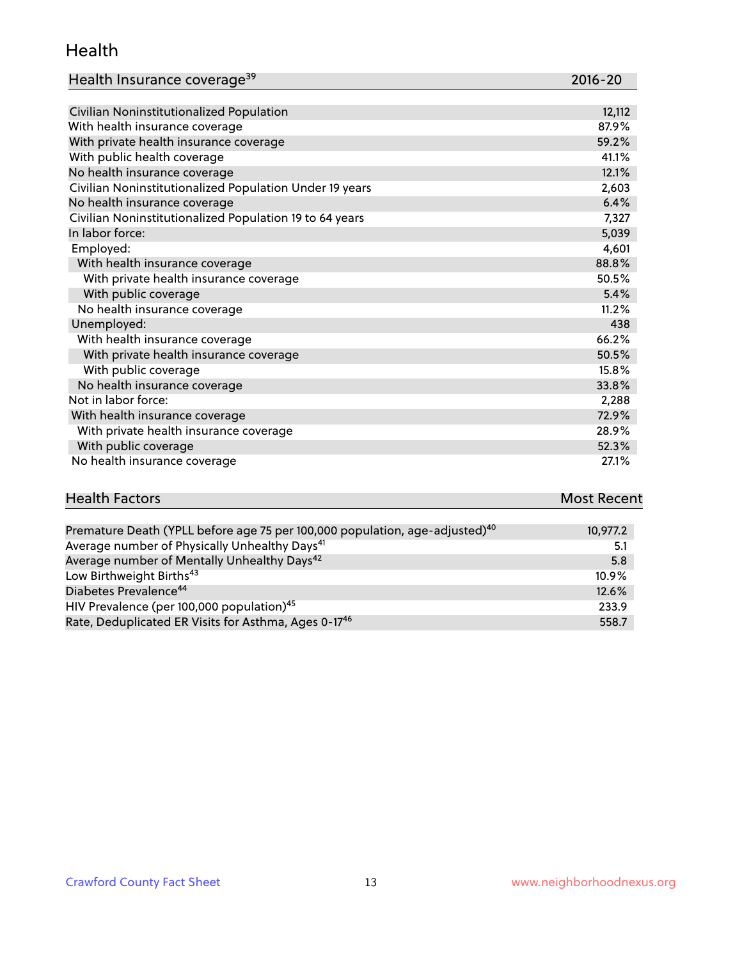#### Health

| Health Insurance coverage <sup>39</sup> | 2016-20 |
|-----------------------------------------|---------|
|-----------------------------------------|---------|

| Civilian Noninstitutionalized Population                | 12,112 |
|---------------------------------------------------------|--------|
| With health insurance coverage                          | 87.9%  |
| With private health insurance coverage                  | 59.2%  |
| With public health coverage                             | 41.1%  |
| No health insurance coverage                            | 12.1%  |
| Civilian Noninstitutionalized Population Under 19 years | 2,603  |
| No health insurance coverage                            | 6.4%   |
| Civilian Noninstitutionalized Population 19 to 64 years | 7,327  |
| In labor force:                                         | 5,039  |
| Employed:                                               | 4,601  |
| With health insurance coverage                          | 88.8%  |
| With private health insurance coverage                  | 50.5%  |
| With public coverage                                    | 5.4%   |
| No health insurance coverage                            | 11.2%  |
| Unemployed:                                             | 438    |
| With health insurance coverage                          | 66.2%  |
| With private health insurance coverage                  | 50.5%  |
| With public coverage                                    | 15.8%  |
| No health insurance coverage                            | 33.8%  |
| Not in labor force:                                     | 2,288  |
| With health insurance coverage                          | 72.9%  |
| With private health insurance coverage                  | 28.9%  |
| With public coverage                                    | 52.3%  |
| No health insurance coverage                            | 27.1%  |

| <b>Health Factors</b> | <b>Most Recent</b> |
|-----------------------|--------------------|
|                       |                    |

| Premature Death (YPLL before age 75 per 100,000 population, age-adjusted) <sup>40</sup> | 10,977.2 |
|-----------------------------------------------------------------------------------------|----------|
| Average number of Physically Unhealthy Days <sup>41</sup>                               | 5.1      |
| Average number of Mentally Unhealthy Days <sup>42</sup>                                 | 5.8      |
| Low Birthweight Births <sup>43</sup>                                                    | $10.9\%$ |
| Diabetes Prevalence <sup>44</sup>                                                       | 12.6%    |
| HIV Prevalence (per 100,000 population) <sup>45</sup>                                   | 233.9    |
| Rate, Deduplicated ER Visits for Asthma, Ages 0-17 <sup>46</sup>                        | 558.7    |